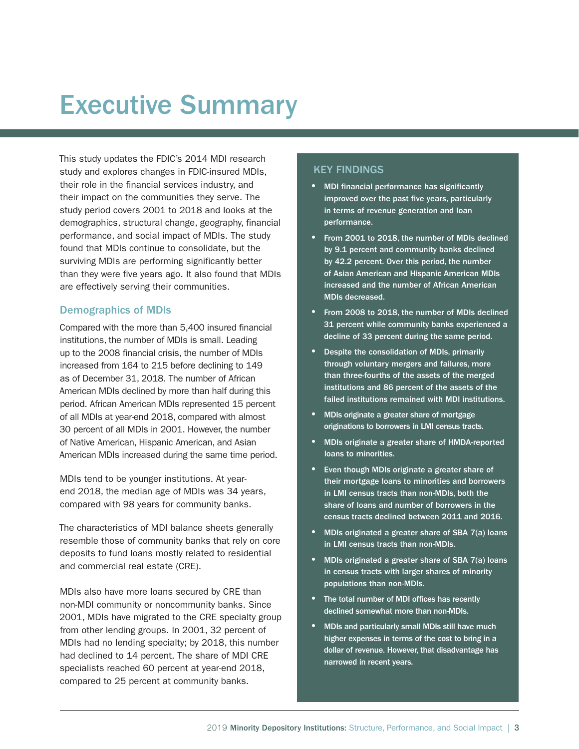# Executive Summary

This study updates the FDIC's 2014 MDI research study and explores changes in FDIC-insured MDIs, their role in the financial services industry, and their impact on the communities they serve. The study period covers 2001 to 2018 and looks at the demographics, structural change, geography, financial performance, and social impact of MDIs. The study found that MDIs continue to consolidate, but the surviving MDIs are performing significantly better than they were five years ago. It also found that MDIs are effectively serving their communities.

#### Demographics of MDIs

Compared with the more than 5,400 insured financial institutions, the number of MDIs is small. Leading up to the 2008 financial crisis, the number of MDIs increased from 164 to 215 before declining to 149 as of December 31, 2018. The number of African American MDIs declined by more than half during this period. African American MDIs represented 15 percent of all MDIs at year-end 2018, compared with almost 30 percent of all MDIs in 2001. However, the number of Native American, Hispanic American, and Asian American MDIs increased during the same time period.

MDIs tend to be younger institutions. At yearend 2018, the median age of MDIs was 34 years, compared with 98 years for community banks.

The characteristics of MDI balance sheets generally resemble those of community banks that rely on core deposits to fund loans mostly related to residential and commercial real estate (CRE).

MDIs also have more loans secured by CRE than non-MDI community or noncommunity banks. Since 2001, MDIs have migrated to the CRE specialty group from other lending groups. In 2001, 32 percent of MDIs had no lending specialty; by 2018, this number had declined to 14 percent. The share of MDI CRE specialists reached 60 percent at year-end 2018, compared to 25 percent at community banks.

## KEY FINDINGS

- MDI financial performance has significantly improved over the past five years, particularly in terms of revenue generation and loan performance.
- From 2001 to 2018, the number of MDIs declined by 9.1 percent and community banks declined by 42.2 percent. Over this period, the number of Asian American and Hispanic American MDIs increased and the number of African American MDIs decreased.
- From 2008 to 2018, the number of MDIs declined 31 percent while community banks experienced a decline of 33 percent during the same period.
- Despite the consolidation of MDIs, primarily through voluntary mergers and failures, more than three-fourths of the assets of the merged institutions and 86 percent of the assets of the failed institutions remained with MDI institutions.
- MDIs originate a greater share of mortgage originations to borrowers in LMI census tracts.
- MDIs originate a greater share of HMDA-reported loans to minorities.
- Even though MDIs originate a greater share of their mortgage loans to minorities and borrowers in LMI census tracts than non-MDIs, both the share of loans and number of borrowers in the census tracts declined between 2011 and 2016.
- MDIs originated a greater share of SBA 7(a) loans in LMI census tracts than non-MDIs.
- MDIs originated a greater share of SBA 7(a) loans in census tracts with larger shares of minority populations than non-MDIs.
- The total number of MDI offices has recently declined somewhat more than non-MDIs.
- MDIs and particularly small MDIs still have much higher expenses in terms of the cost to bring in a dollar of revenue. However, that disadvantage has narrowed in recent years.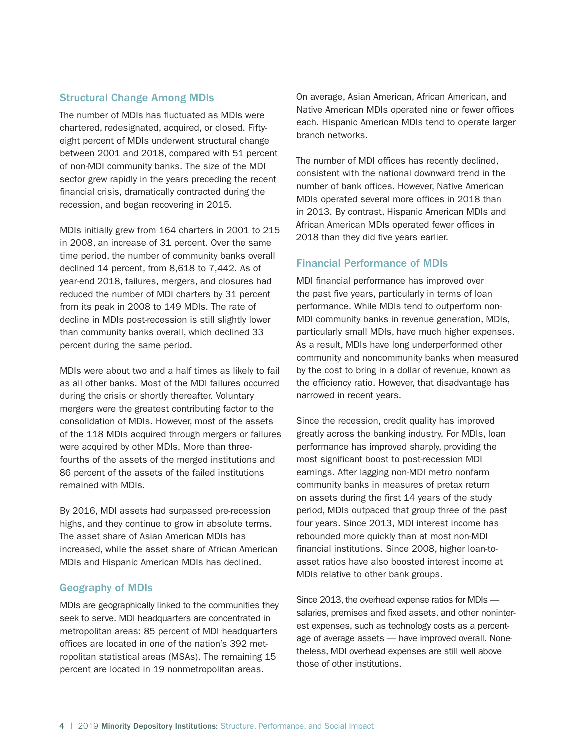#### Structural Change Among MDIs

The number of MDIs has fluctuated as MDIs were chartered, redesignated, acquired, or closed. Fiftyeight percent of MDIs underwent structural change between 2001 and 2018, compared with 51 percent of non-MDI community banks. The size of the MDI sector grew rapidly in the years preceding the recent financial crisis, dramatically contracted during the recession, and began recovering in 2015.

MDIs initially grew from 164 charters in 2001 to 215 in 2008, an increase of 31 percent. Over the same time period, the number of community banks overall declined 14 percent, from 8,618 to 7,442. As of year-end 2018, failures, mergers, and closures had reduced the number of MDI charters by 31 percent from its peak in 2008 to 149 MDIs. The rate of decline in MDIs post-recession is still slightly lower than community banks overall, which declined 33 percent during the same period.

MDIs were about two and a half times as likely to fail as all other banks. Most of the MDI failures occurred during the crisis or shortly thereafter. Voluntary mergers were the greatest contributing factor to the consolidation of MDIs. However, most of the assets of the 118 MDIs acquired through mergers or failures were acquired by other MDIs. More than threefourths of the assets of the merged institutions and 86 percent of the assets of the failed institutions remained with MDIs.

By 2016, MDI assets had surpassed pre-recession highs, and they continue to grow in absolute terms. The asset share of Asian American MDIs has increased, while the asset share of African American MDIs and Hispanic American MDIs has declined.

### Geography of MDIs

MDIs are geographically linked to the communities they seek to serve. MDI headquarters are concentrated in metropolitan areas: 85 percent of MDI headquarters offices are located in one of the nation's 392 metropolitan statistical areas (MSAs). The remaining 15 percent are located in 19 nonmetropolitan areas.

On average, Asian American, African American, and Native American MDIs operated nine or fewer offices each. Hispanic American MDIs tend to operate larger branch networks.

The number of MDI offices has recently declined, consistent with the national downward trend in the number of bank offices. However, Native American MDIs operated several more offices in 2018 than in 2013. By contrast, Hispanic American MDIs and African American MDIs operated fewer offices in 2018 than they did five years earlier.

#### Financial Performance of MDIs

MDI financial performance has improved over the past five years, particularly in terms of loan performance. While MDIs tend to outperform non-MDI community banks in revenue generation, MDIs, particularly small MDIs, have much higher expenses. As a result, MDIs have long underperformed other community and noncommunity banks when measured by the cost to bring in a dollar of revenue, known as the efficiency ratio. However, that disadvantage has narrowed in recent years.

Since the recession, credit quality has improved greatly across the banking industry. For MDIs, loan performance has improved sharply, providing the most significant boost to post-recession MDI earnings. After lagging non-MDI metro nonfarm community banks in measures of pretax return on assets during the first 14 years of the study period, MDIs outpaced that group three of the past four years. Since 2013, MDI interest income has rebounded more quickly than at most non-MDI financial institutions. Since 2008, higher loan-toasset ratios have also boosted interest income at MDIs relative to other bank groups.

Since 2013, the overhead expense ratios for MDIs salaries, premises and fixed assets, and other noninterest expenses, such as technology costs as a percentage of average assets — have improved overall. Nonetheless, MDI overhead expenses are still well above those of other institutions.